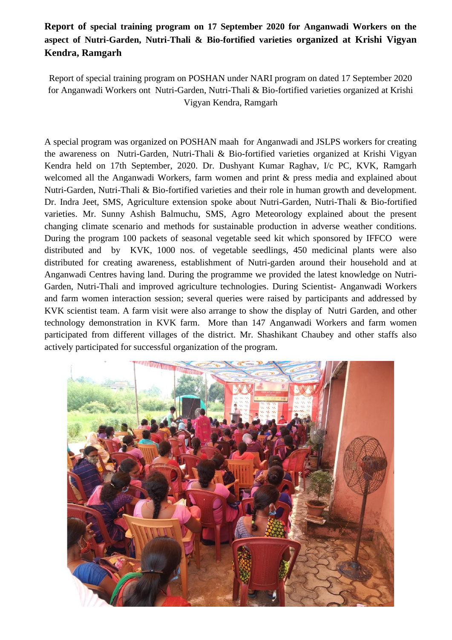## **Report of special training program on 17 September 2020 for Anganwadi Workers on the aspect of Nutri-Garden, Nutri-Thali & Bio-fortified varieties organized at Krishi Vigyan Kendra, Ramgarh**

Report of special training program on POSHAN under NARI program on dated 17 September 2020 for Anganwadi Workers ont Nutri-Garden, Nutri-Thali & Bio-fortified varieties organized at Krishi Vigyan Kendra, Ramgarh

A special program was organized on POSHAN maah for Anganwadi and JSLPS workers for creating the awareness on Nutri-Garden, Nutri-Thali & Bio-fortified varieties organized at Krishi Vigyan Kendra held on 17th September, 2020. Dr. Dushyant Kumar Raghav, I/c PC, KVK, Ramgarh welcomed all the Anganwadi Workers, farm women and print & press media and explained about Nutri-Garden, Nutri-Thali & Bio-fortified varieties and their role in human growth and development. Dr. Indra Jeet, SMS, Agriculture extension spoke about Nutri-Garden, Nutri-Thali & Bio-fortified varieties. Mr. Sunny Ashish Balmuchu, SMS, Agro Meteorology explained about the present changing climate scenario and methods for sustainable production in adverse weather conditions. During the program 100 packets of seasonal vegetable seed kit which sponsored by IFFCO were distributed and by KVK, 1000 nos. of vegetable seedlings, 450 medicinal plants were also distributed for creating awareness, establishment of Nutri-garden around their household and at Anganwadi Centres having land. During the programme we provided the latest knowledge on Nutri-Garden, Nutri-Thali and improved agriculture technologies. During Scientist- Anganwadi Workers and farm women interaction session; several queries were raised by participants and addressed by KVK scientist team. A farm visit were also arrange to show the display of Nutri Garden, and other technology demonstration in KVK farm. More than 147 Anganwadi Workers and farm women participated from different villages of the district. Mr. Shashikant Chaubey and other staffs also actively participated for successful organization of the program.